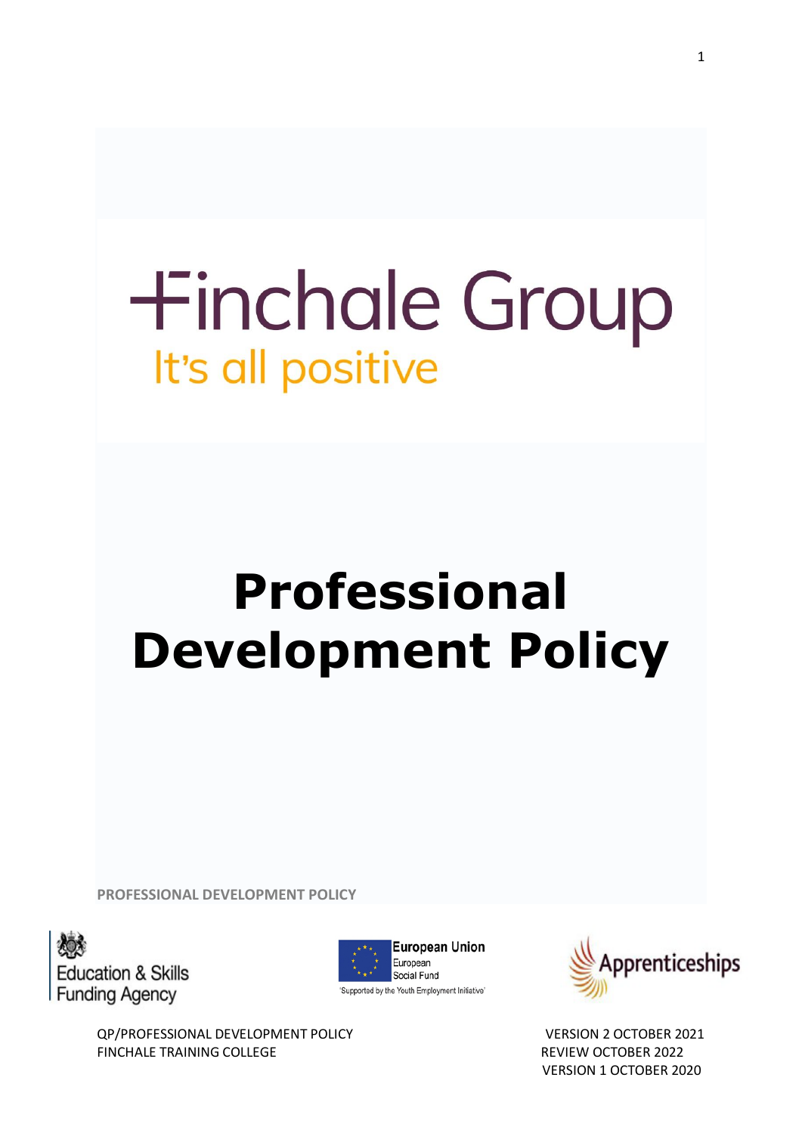# **+inchale Group** It's all positive

# **Professional Development Policy**

**PROFESSIONAL DEVELOPMENT POLICY**







QP/PROFESSIONAL DEVELOPMENT POLICY VERSION 2 OCTOBER 2021 FINCHALE TRAINING COLLEGE **REVIEW OCTOBER 2022** VERSION 1 OCTOBER 2020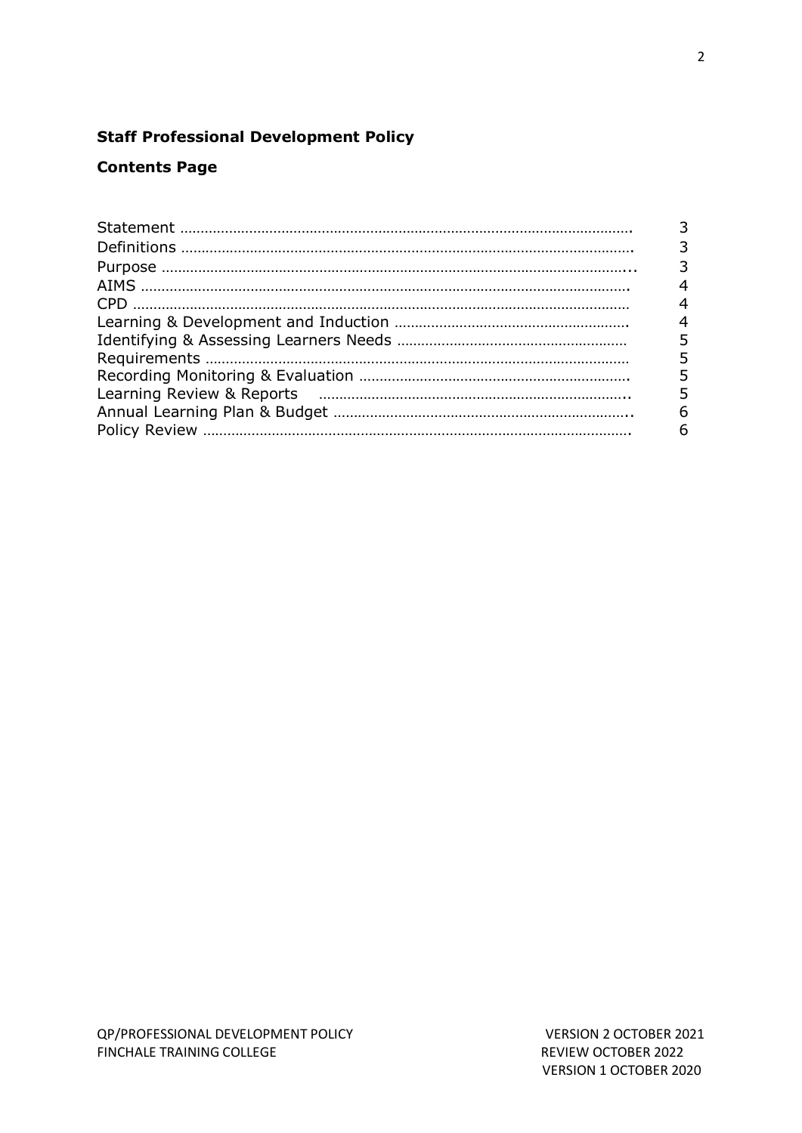# **Staff Professional Development Policy**

### **Contents Page**

| 4 |
|---|
| 4 |
| 4 |
| 5 |
|   |
| 5 |
|   |
| 6 |
| 6 |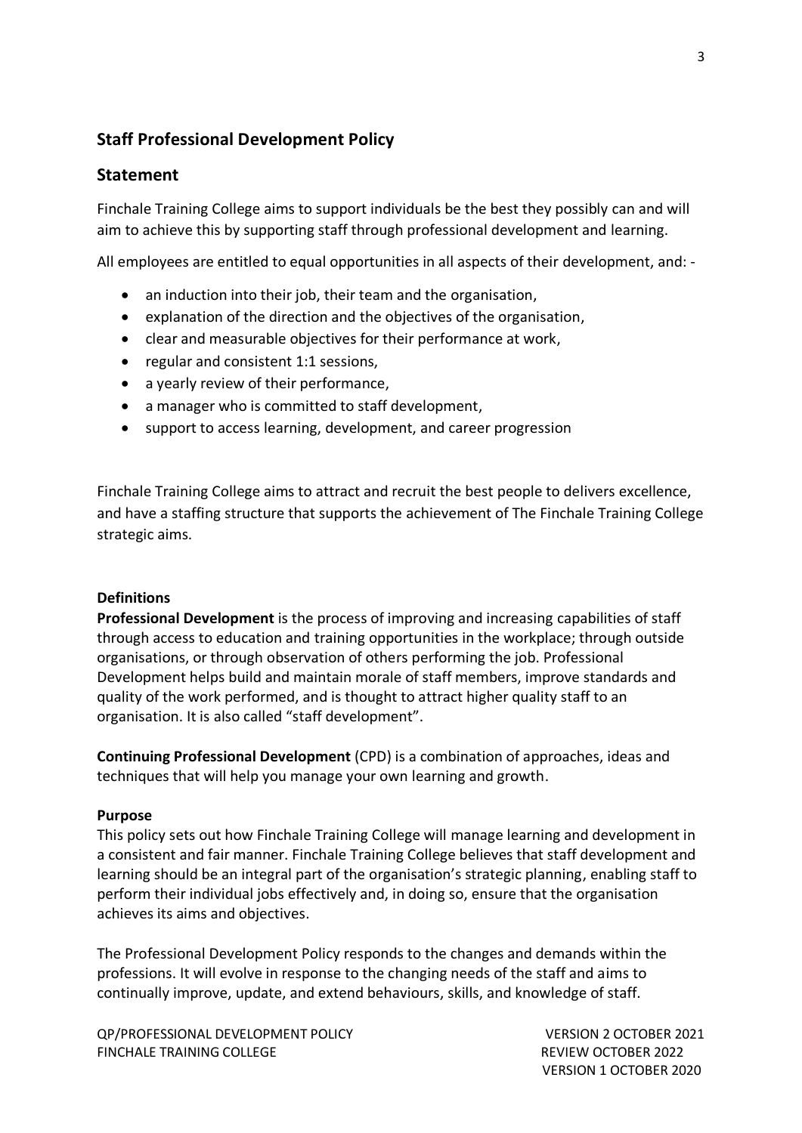## **Staff Professional Development Policy**

#### **Statement**

Finchale Training College aims to support individuals be the best they possibly can and will aim to achieve this by supporting staff through professional development and learning.

All employees are entitled to equal opportunities in all aspects of their development, and: -

- an induction into their job, their team and the organisation,
- explanation of the direction and the objectives of the organisation,
- clear and measurable objectives for their performance at work,
- regular and consistent 1:1 sessions,
- a yearly review of their performance,
- a manager who is committed to staff development,
- support to access learning, development, and career progression

Finchale Training College aims to attract and recruit the best people to delivers excellence, and have a staffing structure that supports the achievement of The Finchale Training College strategic aims.

#### **Definitions**

**Professional Development** is the process of improving and increasing capabilities of staff through access to education and training opportunities in the workplace; through outside organisations, or through observation of others performing the job. Professional Development helps build and maintain morale of staff members, improve standards and quality of the work performed, and is thought to attract higher quality staff to an organisation. It is also called "staff development".

**Continuing Professional Development** (CPD) is a combination of approaches, ideas and techniques that will help you manage your own learning and growth.

#### **Purpose**

This policy sets out how Finchale Training College will manage learning and development in a consistent and fair manner. Finchale Training College believes that staff development and learning should be an integral part of the organisation's strategic planning, enabling staff to perform their individual jobs effectively and, in doing so, ensure that the organisation achieves its aims and objectives.

The Professional Development Policy responds to the changes and demands within the professions. It will evolve in response to the changing needs of the staff and aims to continually improve, update, and extend behaviours, skills, and knowledge of staff.

QP/PROFESSIONAL DEVELOPMENT POLICY VERSION 2 OCTOBER 2021 FINCHALE TRAINING COLLEGE **REVIEW OCTOBER 2022** 

VERSION 1 OCTOBER 2020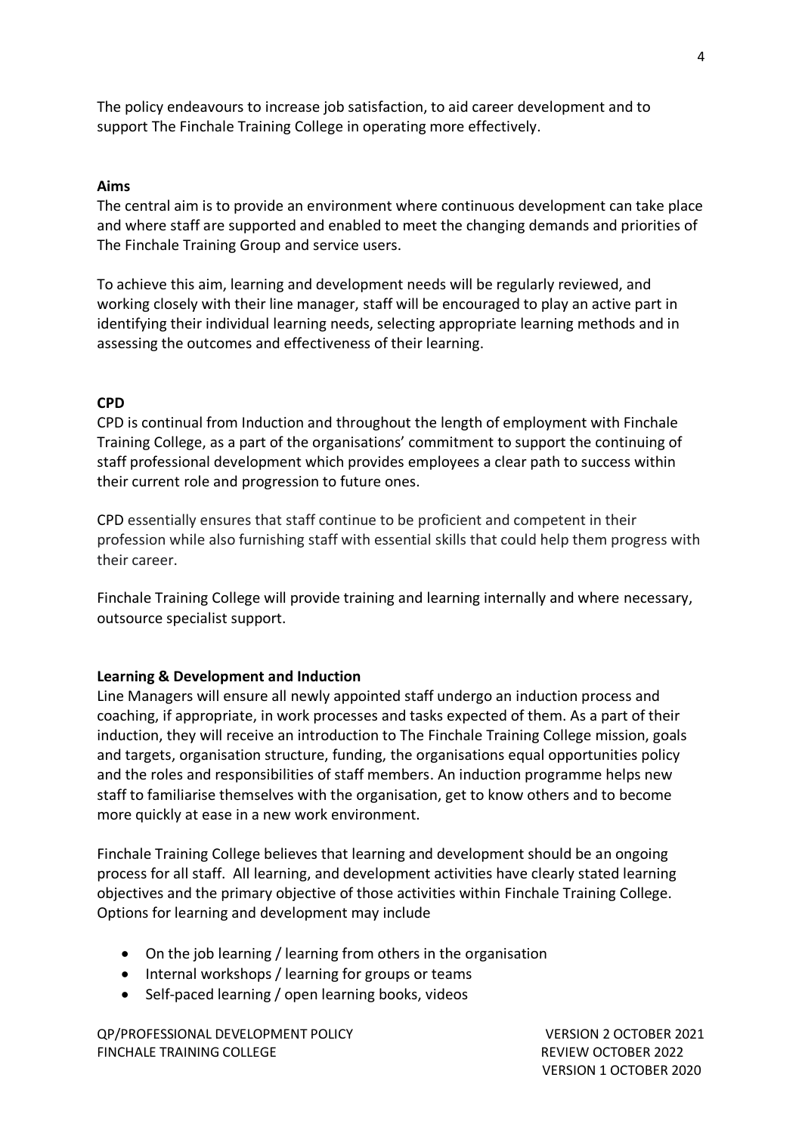The policy endeavours to increase job satisfaction, to aid career development and to support The Finchale Training College in operating more effectively.

#### **Aims**

The central aim is to provide an environment where continuous development can take place and where staff are supported and enabled to meet the changing demands and priorities of The Finchale Training Group and service users.

To achieve this aim, learning and development needs will be regularly reviewed, and working closely with their line manager, staff will be encouraged to play an active part in identifying their individual learning needs, selecting appropriate learning methods and in assessing the outcomes and effectiveness of their learning.

#### **CPD**

CPD is continual from Induction and throughout the length of employment with Finchale Training College, as a part of the organisations' commitment to support the continuing of staff professional development which provides employees a clear path to success within their current role and progression to future ones.

CPD essentially ensures that staff continue to be proficient and competent in their profession while also furnishing staff with essential skills that could help them progress with their career.

Finchale Training College will provide training and learning internally and where necessary, outsource specialist support.

#### **Learning & Development and Induction**

Line Managers will ensure all newly appointed staff undergo an induction process and coaching, if appropriate, in work processes and tasks expected of them. As a part of their induction, they will receive an introduction to The Finchale Training College mission, goals and targets, organisation structure, funding, the organisations equal opportunities policy and the roles and responsibilities of staff members. An induction programme helps new staff to familiarise themselves with the organisation, get to know others and to become more quickly at ease in a new work environment.

Finchale Training College believes that learning and development should be an ongoing process for all staff. All learning, and development activities have clearly stated learning objectives and the primary objective of those activities within Finchale Training College. Options for learning and development may include

- On the job learning / learning from others in the organisation
- Internal workshops / learning for groups or teams
- Self-paced learning / open learning books, videos

QP/PROFESSIONAL DEVELOPMENT POLICY VERSION 2 OCTOBER 2021 FINCHALE TRAINING COLLEGE **REVIEW OCTOBER 2022** 

VERSION 1 OCTOBER 2020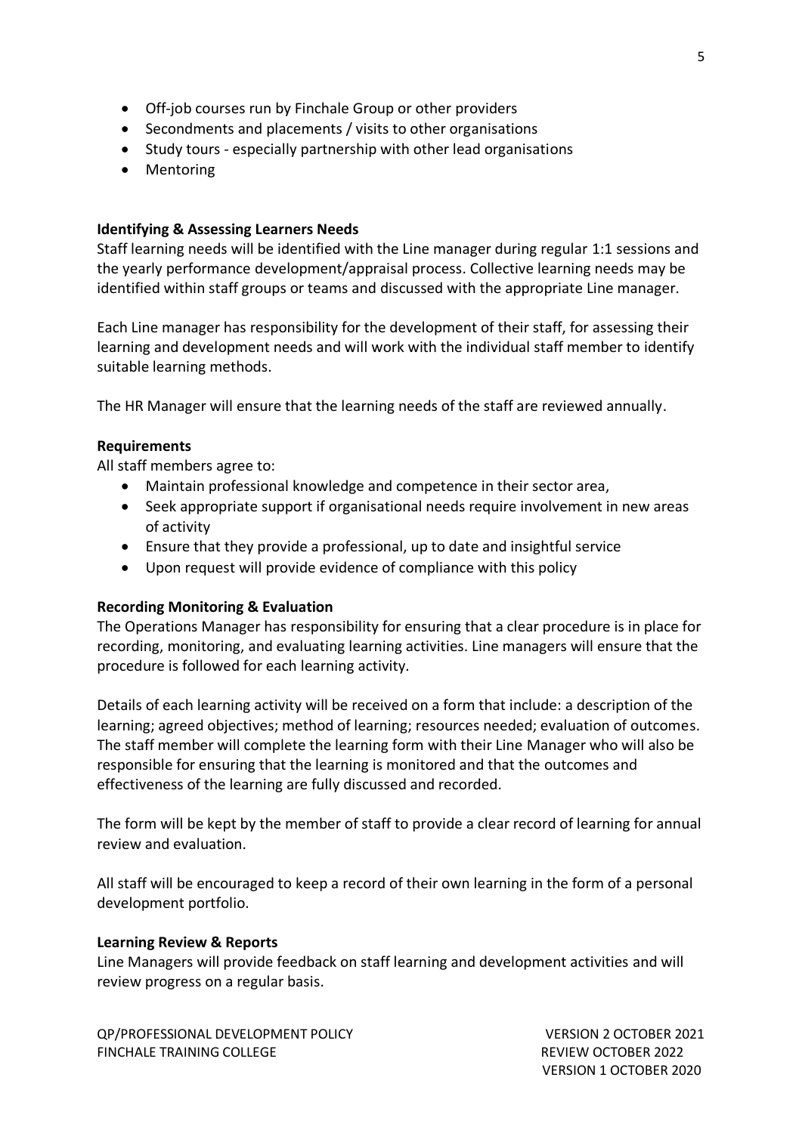- Off-job courses run by Finchale Group or other providers
- Secondments and placements / visits to other organisations
- Study tours especially partnership with other lead organisations
- Mentoring

#### **Identifying & Assessing Learners Needs**

Staff learning needs will be identified with the Line manager during regular 1:1 sessions and the yearly performance development/appraisal process. Collective learning needs may be identified within staff groups or teams and discussed with the appropriate Line manager.

Each Line manager has responsibility for the development of their staff, for assessing their learning and development needs and will work with the individual staff member to identify suitable learning methods.

The HR Manager will ensure that the learning needs of the staff are reviewed annually.

#### **Requirements**

All staff members agree to:

- Maintain professional knowledge and competence in their sector area,
- Seek appropriate support if organisational needs require involvement in new areas of activity
- Ensure that they provide a professional, up to date and insightful service
- Upon request will provide evidence of compliance with this policy

#### **Recording Monitoring & Evaluation**

The Operations Manager has responsibility for ensuring that a clear procedure is in place for recording, monitoring, and evaluating learning activities. Line managers will ensure that the procedure is followed for each learning activity.

Details of each learning activity will be received on a form that include: a description of the learning; agreed objectives; method of learning; resources needed; evaluation of outcomes. The staff member will complete the learning form with their Line Manager who will also be responsible for ensuring that the learning is monitored and that the outcomes and effectiveness of the learning are fully discussed and recorded.

The form will be kept by the member of staff to provide a clear record of learning for annual review and evaluation.

All staff will be encouraged to keep a record of their own learning in the form of a personal development portfolio.

#### **Learning Review & Reports**

Line Managers will provide feedback on staff learning and development activities and will review progress on a regular basis.

QP/PROFESSIONAL DEVELOPMENT POLICY VERSION 2 OCTOBER 2021 FINCHALE TRAINING COLLEGE **REVIEW OCTOBER 2022** 

VERSION 1 OCTOBER 2020